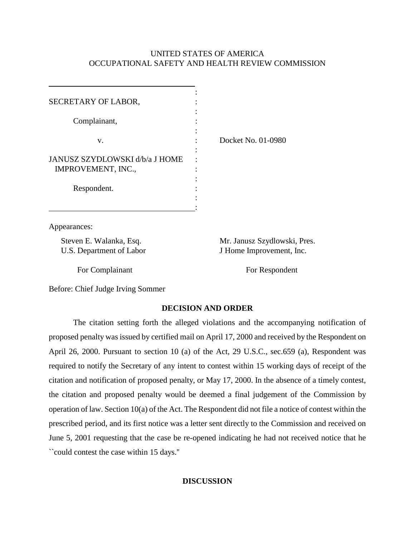## UNITED STATES OF AMERICA OCCUPATIONAL SAFETY AND HEALTH REVIEW COMMISSION

| SECRETARY OF LABOR,                                  |                    |
|------------------------------------------------------|--------------------|
| Complainant,                                         |                    |
| v.                                                   | Docket No. 01-0980 |
| JANUSZ SZYDLOWSKI d/b/a J HOME<br>IMPROVEMENT, INC., |                    |
| Respondent.                                          |                    |
|                                                      |                    |

Appearances:

Steven E. Walanka, Esq. U.S. Department of Labor

Mr. Janusz Szydlowski, Pres. J Home Improvement, Inc.

For Complainant

For Respondent

Before: Chief Judge Irving Sommer

## **DECISION AND ORDER**

The citation setting forth the alleged violations and the accompanying notification of proposed penalty was issued by certified mail on April 17, 2000 and received by the Respondent on April 26, 2000. Pursuant to section 10 (a) of the Act, 29 U.S.C., sec.659 (a), Respondent was required to notify the Secretary of any intent to contest within 15 working days of receipt of the citation and notification of proposed penalty, or May 17, 2000. In the absence of a timely contest, the citation and proposed penalty would be deemed a final judgement of the Commission by operation of law. Section 10(a) of the Act. The Respondent did not file a notice of contest within the prescribed period, and its first notice was a letter sent directly to the Commission and received on June 5, 2001 requesting that the case be re-opened indicating he had not received notice that he ``could contest the case within 15 days.''

## **DISCUSSION**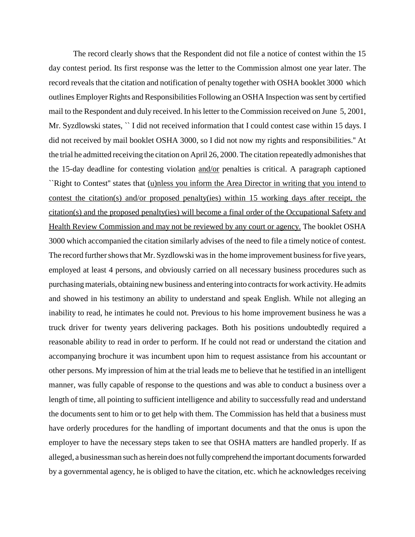The record clearly shows that the Respondent did not file a notice of contest within the 15 day contest period. Its first response was the letter to the Commission almost one year later. The record reveals that the citation and notification of penalty together with OSHA booklet 3000 which outlines Employer Rights and Responsibilities Following an OSHA Inspection was sent by certified mail to the Respondent and duly received. In his letter to the Commission received on June 5, 2001, Mr. Syzdlowski states, `` I did not received information that I could contest case within 15 days. I did not received by mail booklet OSHA 3000, so I did not now my rights and responsibilities.'' At the trial he admitted receiving the citation on April 26, 2000. The citation repeatedly admonishes that the 15-day deadline for contesting violation and/or penalties is critical. A paragraph captioned ``Right to Contest'' states that (u)nless you inform the Area Director in writing that you intend to contest the citation(s) and/or proposed penalty(ies) within 15 working days after receipt, the citation(s) and the proposed penalty(ies) will become a final order of the Occupational Safety and Health Review Commission and may not be reviewed by any court or agency. The booklet OSHA 3000 which accompanied the citation similarly advises of the need to file a timely notice of contest. The record further shows that Mr. Syzdlowski was in the home improvement business for five years, employed at least 4 persons, and obviously carried on all necessary business procedures such as purchasing materials, obtaining new business and entering into contracts for work activity. He admits and showed in his testimony an ability to understand and speak English. While not alleging an inability to read, he intimates he could not. Previous to his home improvement business he was a truck driver for twenty years delivering packages. Both his positions undoubtedly required a reasonable ability to read in order to perform. If he could not read or understand the citation and accompanying brochure it was incumbent upon him to request assistance from his accountant or other persons. My impression of him at the trial leads me to believe that he testified in an intelligent manner, was fully capable of response to the questions and was able to conduct a business over a length of time, all pointing to sufficient intelligence and ability to successfully read and understand the documents sent to him or to get help with them. The Commission has held that a business must have orderly procedures for the handling of important documents and that the onus is upon the employer to have the necessary steps taken to see that OSHA matters are handled properly. If as alleged, a businessman such as herein does not fully comprehend the important documents forwarded by a governmental agency, he is obliged to have the citation, etc. which he acknowledges receiving